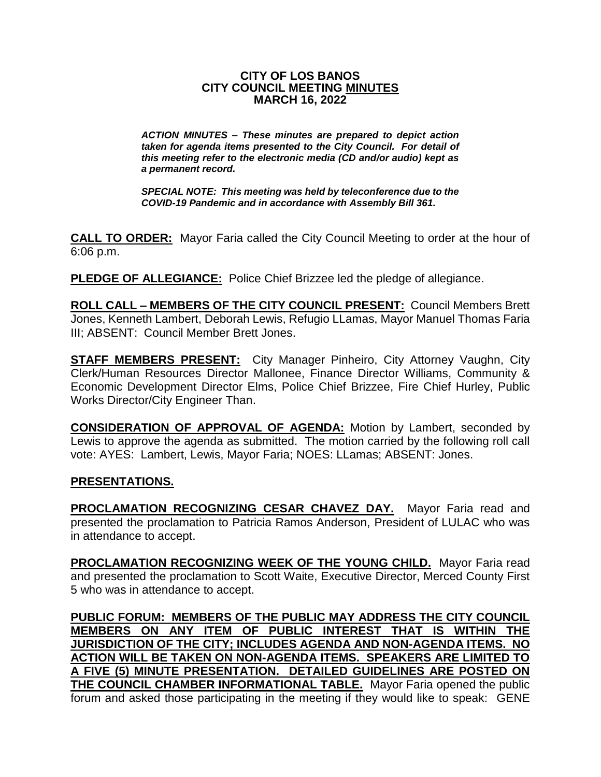#### **CITY OF LOS BANOS CITY COUNCIL MEETING MINUTES MARCH 16, 2022**

*ACTION MINUTES – These minutes are prepared to depict action taken for agenda items presented to the City Council. For detail of this meeting refer to the electronic media (CD and/or audio) kept as a permanent record.*

*SPECIAL NOTE: This meeting was held by teleconference due to the COVID-19 Pandemic and in accordance with Assembly Bill 361.*

**CALL TO ORDER:** Mayor Faria called the City Council Meeting to order at the hour of 6:06 p.m.

**PLEDGE OF ALLEGIANCE:** Police Chief Brizzee led the pledge of allegiance.

**ROLL CALL – MEMBERS OF THE CITY COUNCIL PRESENT:** Council Members Brett Jones, Kenneth Lambert, Deborah Lewis, Refugio LLamas, Mayor Manuel Thomas Faria III; ABSENT: Council Member Brett Jones.

**STAFF MEMBERS PRESENT:** City Manager Pinheiro, City Attorney Vaughn, City Clerk/Human Resources Director Mallonee, Finance Director Williams, Community & Economic Development Director Elms, Police Chief Brizzee, Fire Chief Hurley, Public Works Director/City Engineer Than.

**CONSIDERATION OF APPROVAL OF AGENDA:** Motion by Lambert, seconded by Lewis to approve the agenda as submitted. The motion carried by the following roll call vote: AYES: Lambert, Lewis, Mayor Faria; NOES: LLamas; ABSENT: Jones.

# **PRESENTATIONS.**

**PROCLAMATION RECOGNIZING CESAR CHAVEZ DAY.** Mayor Faria read and presented the proclamation to Patricia Ramos Anderson, President of LULAC who was in attendance to accept.

**PROCLAMATION RECOGNIZING WEEK OF THE YOUNG CHILD.** Mayor Faria read and presented the proclamation to Scott Waite, Executive Director, Merced County First 5 who was in attendance to accept.

**PUBLIC FORUM: MEMBERS OF THE PUBLIC MAY ADDRESS THE CITY COUNCIL MEMBERS ON ANY ITEM OF PUBLIC INTEREST THAT IS WITHIN THE JURISDICTION OF THE CITY; INCLUDES AGENDA AND NON-AGENDA ITEMS. NO ACTION WILL BE TAKEN ON NON-AGENDA ITEMS. SPEAKERS ARE LIMITED TO A FIVE (5) MINUTE PRESENTATION. DETAILED GUIDELINES ARE POSTED ON THE COUNCIL CHAMBER INFORMATIONAL TABLE.** Mayor Faria opened the public forum and asked those participating in the meeting if they would like to speak: GENE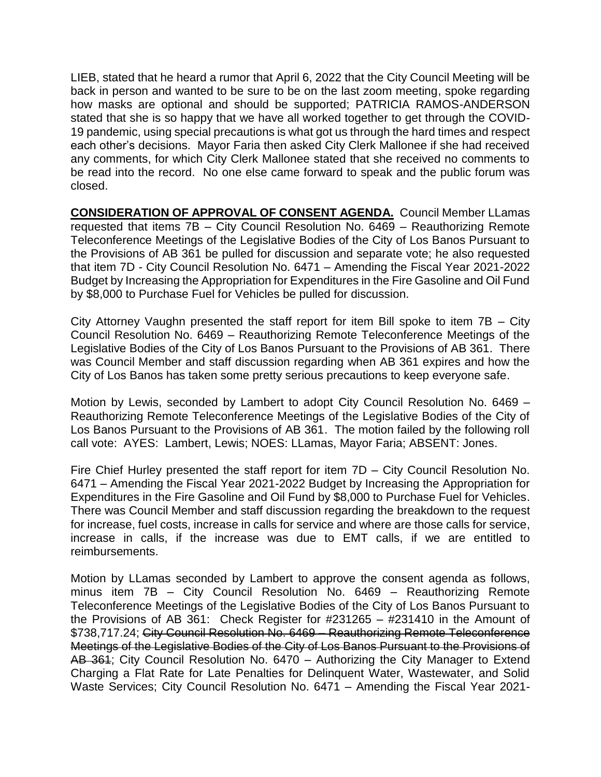LIEB, stated that he heard a rumor that April 6, 2022 that the City Council Meeting will be back in person and wanted to be sure to be on the last zoom meeting, spoke regarding how masks are optional and should be supported; PATRICIA RAMOS-ANDERSON stated that she is so happy that we have all worked together to get through the COVID-19 pandemic, using special precautions is what got us through the hard times and respect each other's decisions. Mayor Faria then asked City Clerk Mallonee if she had received any comments, for which City Clerk Mallonee stated that she received no comments to be read into the record. No one else came forward to speak and the public forum was closed.

**CONSIDERATION OF APPROVAL OF CONSENT AGENDA.** Council Member LLamas requested that items 7B – City Council Resolution No. 6469 – Reauthorizing Remote Teleconference Meetings of the Legislative Bodies of the City of Los Banos Pursuant to the Provisions of AB 361 be pulled for discussion and separate vote; he also requested that item 7D - City Council Resolution No. 6471 – Amending the Fiscal Year 2021-2022 Budget by Increasing the Appropriation for Expenditures in the Fire Gasoline and Oil Fund by \$8,000 to Purchase Fuel for Vehicles be pulled for discussion.

City Attorney Vaughn presented the staff report for item Bill spoke to item 7B – City Council Resolution No. 6469 – Reauthorizing Remote Teleconference Meetings of the Legislative Bodies of the City of Los Banos Pursuant to the Provisions of AB 361. There was Council Member and staff discussion regarding when AB 361 expires and how the City of Los Banos has taken some pretty serious precautions to keep everyone safe.

Motion by Lewis, seconded by Lambert to adopt City Council Resolution No. 6469 – Reauthorizing Remote Teleconference Meetings of the Legislative Bodies of the City of Los Banos Pursuant to the Provisions of AB 361. The motion failed by the following roll call vote: AYES: Lambert, Lewis; NOES: LLamas, Mayor Faria; ABSENT: Jones.

Fire Chief Hurley presented the staff report for item 7D – City Council Resolution No. 6471 – Amending the Fiscal Year 2021-2022 Budget by Increasing the Appropriation for Expenditures in the Fire Gasoline and Oil Fund by \$8,000 to Purchase Fuel for Vehicles. There was Council Member and staff discussion regarding the breakdown to the request for increase, fuel costs, increase in calls for service and where are those calls for service, increase in calls, if the increase was due to EMT calls, if we are entitled to reimbursements.

Motion by LLamas seconded by Lambert to approve the consent agenda as follows, minus item 7B – City Council Resolution No. 6469 – Reauthorizing Remote Teleconference Meetings of the Legislative Bodies of the City of Los Banos Pursuant to the Provisions of AB 361: Check Register for #231265 – #231410 in the Amount of \$738,717.24; City Council Resolution No. 6469 – Reauthorizing Remote Teleconference Meetings of the Legislative Bodies of the City of Los Banos Pursuant to the Provisions of AB 361; City Council Resolution No. 6470 – Authorizing the City Manager to Extend Charging a Flat Rate for Late Penalties for Delinquent Water, Wastewater, and Solid Waste Services; City Council Resolution No. 6471 – Amending the Fiscal Year 2021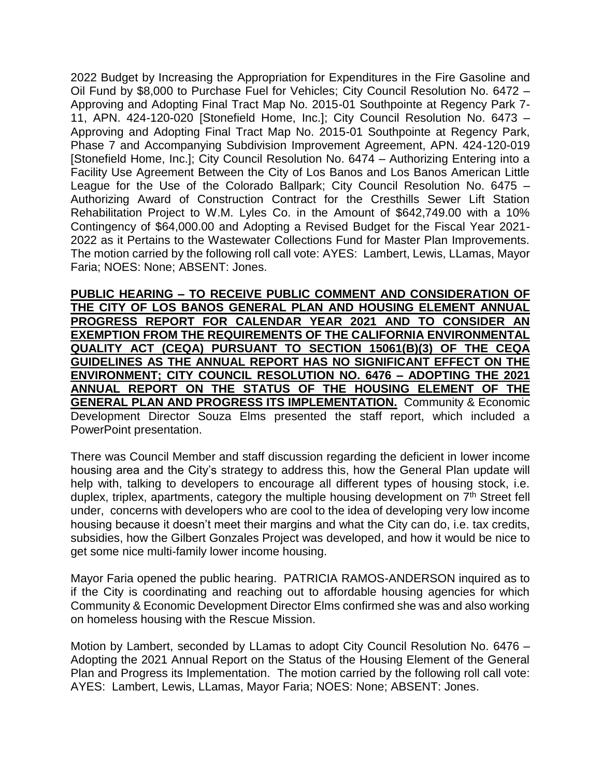2022 Budget by Increasing the Appropriation for Expenditures in the Fire Gasoline and Oil Fund by \$8,000 to Purchase Fuel for Vehicles; City Council Resolution No. 6472 – Approving and Adopting Final Tract Map No. 2015-01 Southpointe at Regency Park 7- 11, APN. 424-120-020 [Stonefield Home, Inc.]; City Council Resolution No. 6473 – Approving and Adopting Final Tract Map No. 2015-01 Southpointe at Regency Park, Phase 7 and Accompanying Subdivision Improvement Agreement, APN. 424-120-019 [Stonefield Home, Inc.]; City Council Resolution No. 6474 – Authorizing Entering into a Facility Use Agreement Between the City of Los Banos and Los Banos American Little League for the Use of the Colorado Ballpark; City Council Resolution No. 6475 – Authorizing Award of Construction Contract for the Cresthills Sewer Lift Station Rehabilitation Project to W.M. Lyles Co. in the Amount of \$642,749.00 with a 10% Contingency of \$64,000.00 and Adopting a Revised Budget for the Fiscal Year 2021- 2022 as it Pertains to the Wastewater Collections Fund for Master Plan Improvements. The motion carried by the following roll call vote: AYES: Lambert, Lewis, LLamas, Mayor Faria; NOES: None; ABSENT: Jones.

**PUBLIC HEARING – TO RECEIVE PUBLIC COMMENT AND CONSIDERATION OF THE CITY OF LOS BANOS GENERAL PLAN AND HOUSING ELEMENT ANNUAL PROGRESS REPORT FOR CALENDAR YEAR 2021 AND TO CONSIDER AN EXEMPTION FROM THE REQUIREMENTS OF THE CALIFORNIA ENVIRONMENTAL QUALITY ACT (CEQA) PURSUANT TO SECTION 15061(B)(3) OF THE CEQA GUIDELINES AS THE ANNUAL REPORT HAS NO SIGNIFICANT EFFECT ON THE ENVIRONMENT; CITY COUNCIL RESOLUTION NO. 6476 – ADOPTING THE 2021 ANNUAL REPORT ON THE STATUS OF THE HOUSING ELEMENT OF THE GENERAL PLAN AND PROGRESS ITS IMPLEMENTATION.** Community & Economic Development Director Souza Elms presented the staff report, which included a PowerPoint presentation.

There was Council Member and staff discussion regarding the deficient in lower income housing area and the City's strategy to address this, how the General Plan update will help with, talking to developers to encourage all different types of housing stock, i.e. duplex, triplex, apartments, category the multiple housing development on  $\vec{\tau}^{\text{th}}$  Street fell under, concerns with developers who are cool to the idea of developing very low income housing because it doesn't meet their margins and what the City can do, i.e. tax credits, subsidies, how the Gilbert Gonzales Project was developed, and how it would be nice to get some nice multi-family lower income housing.

Mayor Faria opened the public hearing. PATRICIA RAMOS-ANDERSON inquired as to if the City is coordinating and reaching out to affordable housing agencies for which Community & Economic Development Director Elms confirmed she was and also working on homeless housing with the Rescue Mission.

Motion by Lambert, seconded by LLamas to adopt City Council Resolution No. 6476 – Adopting the 2021 Annual Report on the Status of the Housing Element of the General Plan and Progress its Implementation. The motion carried by the following roll call vote: AYES: Lambert, Lewis, LLamas, Mayor Faria; NOES: None; ABSENT: Jones.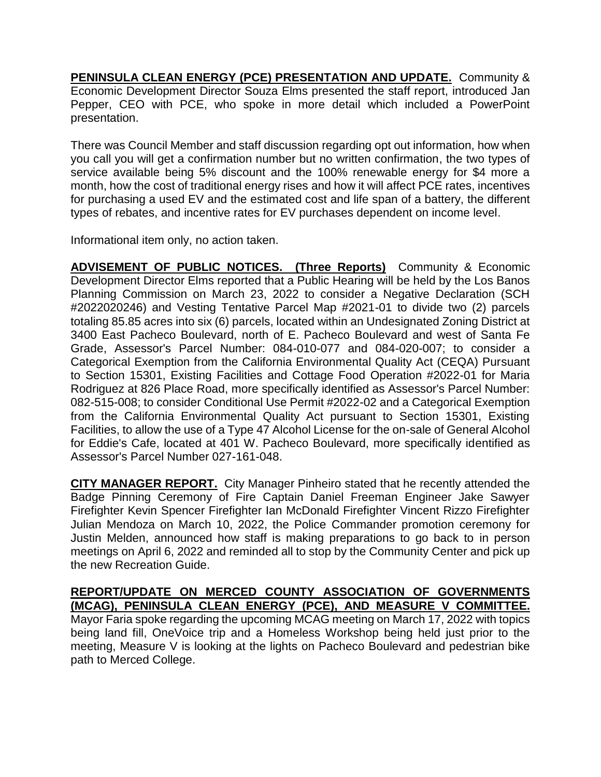**PENINSULA CLEAN ENERGY (PCE) PRESENTATION AND UPDATE.** Community & Economic Development Director Souza Elms presented the staff report, introduced Jan Pepper, CEO with PCE, who spoke in more detail which included a PowerPoint presentation.

There was Council Member and staff discussion regarding opt out information, how when you call you will get a confirmation number but no written confirmation, the two types of service available being 5% discount and the 100% renewable energy for \$4 more a month, how the cost of traditional energy rises and how it will affect PCE rates, incentives for purchasing a used EV and the estimated cost and life span of a battery, the different types of rebates, and incentive rates for EV purchases dependent on income level.

Informational item only, no action taken.

**ADVISEMENT OF PUBLIC NOTICES. (Three Reports)** Community & Economic Development Director Elms reported that a Public Hearing will be held by the Los Banos Planning Commission on March 23, 2022 to consider a Negative Declaration (SCH #2022020246) and Vesting Tentative Parcel Map #2021-01 to divide two (2) parcels totaling 85.85 acres into six (6) parcels, located within an Undesignated Zoning District at 3400 East Pacheco Boulevard, north of E. Pacheco Boulevard and west of Santa Fe Grade, Assessor's Parcel Number: 084-010-077 and 084-020-007; to consider a Categorical Exemption from the California Environmental Quality Act (CEQA) Pursuant to Section 15301, Existing Facilities and Cottage Food Operation #2022-01 for Maria Rodriguez at 826 Place Road, more specifically identified as Assessor's Parcel Number: 082-515-008; to consider Conditional Use Permit #2022-02 and a Categorical Exemption from the California Environmental Quality Act pursuant to Section 15301, Existing Facilities, to allow the use of a Type 47 Alcohol License for the on-sale of General Alcohol for Eddie's Cafe, located at 401 W. Pacheco Boulevard, more specifically identified as Assessor's Parcel Number 027-161-048.

**CITY MANAGER REPORT.** City Manager Pinheiro stated that he recently attended the Badge Pinning Ceremony of Fire Captain Daniel Freeman Engineer Jake Sawyer Firefighter Kevin Spencer Firefighter Ian McDonald Firefighter Vincent Rizzo Firefighter Julian Mendoza on March 10, 2022, the Police Commander promotion ceremony for Justin Melden, announced how staff is making preparations to go back to in person meetings on April 6, 2022 and reminded all to stop by the Community Center and pick up the new Recreation Guide.

# **REPORT/UPDATE ON MERCED COUNTY ASSOCIATION OF GOVERNMENTS (MCAG), PENINSULA CLEAN ENERGY (PCE), AND MEASURE V COMMITTEE.**

Mayor Faria spoke regarding the upcoming MCAG meeting on March 17, 2022 with topics being land fill, OneVoice trip and a Homeless Workshop being held just prior to the meeting, Measure V is looking at the lights on Pacheco Boulevard and pedestrian bike path to Merced College.